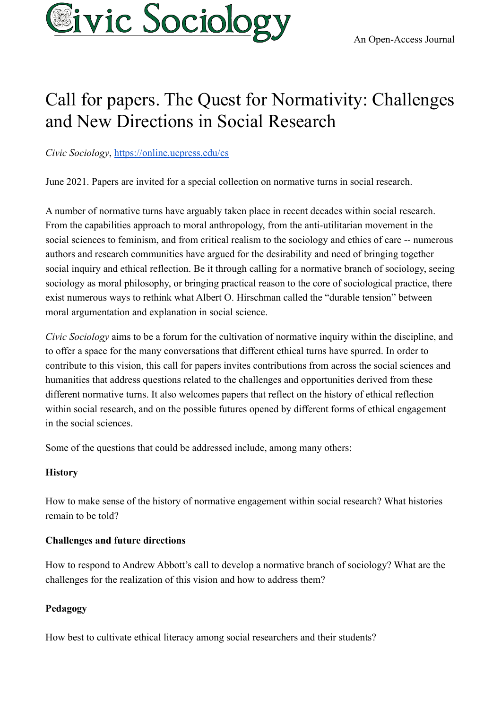

# Call for papers. The Quest for Normativity: Challenges and New Directions in Social Research

*Civic Sociology*, <https://online.ucpress.edu/cs>

June 2021. Papers are invited for a special collection on normative turns in social research.

A number of normative turns have arguably taken place in recent decades within social research. From the capabilities approach to moral anthropology, from the anti-utilitarian movement in the social sciences to feminism, and from critical realism to the sociology and ethics of care -- numerous authors and research communities have argued for the desirability and need of bringing together social inquiry and ethical reflection. Be it through calling for a normative branch of sociology, seeing sociology as moral philosophy, or bringing practical reason to the core of sociological practice, there exist numerous ways to rethink what Albert O. Hirschman called the "durable tension" between moral argumentation and explanation in social science.

*Civic Sociology* aims to be a forum for the cultivation of normative inquiry within the discipline, and to offer a space for the many conversations that different ethical turns have spurred. In order to contribute to this vision, this call for papers invites contributions from across the social sciences and humanities that address questions related to the challenges and opportunities derived from these different normative turns. It also welcomes papers that reflect on the history of ethical reflection within social research, and on the possible futures opened by different forms of ethical engagement in the social sciences.

Some of the questions that could be addressed include, among many others:

## **History**

How to make sense of the history of normative engagement within social research? What histories remain to be told?

# **Challenges and future directions**

How to respond to Andrew Abbott's call to develop a normative branch of sociology? What are the challenges for the realization of this vision and how to address them?

# **Pedagogy**

How best to cultivate ethical literacy among social researchers and their students?